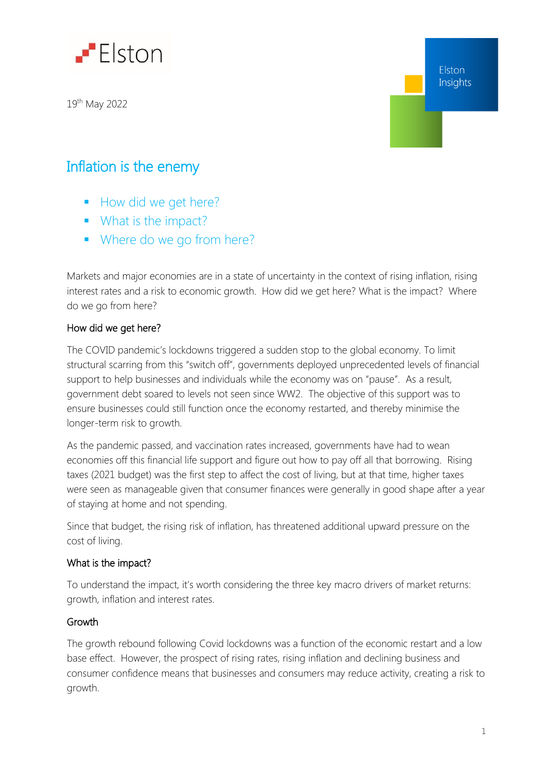

19<sup>th</sup> May 2022

Elston Insights

## Inflation is the enemy

- How did we get here?
- **What is the impact?**
- Where do we go from here?

Markets and major economies are in a state of uncertainty in the context of rising inflation, rising interest rates and a risk to economic growth. How did we get here? What is the impact? Where do we go from here?

## How did we get here?

The COVID pandemic's lockdowns triggered a sudden stop to the global economy. To limit structural scarring from this "switch off", governments deployed unprecedented levels of financial support to help businesses and individuals while the economy was on "pause". As a result, government debt soared to levels not seen since WW2. The objective of this support was to ensure businesses could still function once the economy restarted, and thereby minimise the longer-term risk to growth.

As the pandemic passed, and vaccination rates increased, governments have had to wean economies off this financial life support and figure out how to pay off all that borrowing. Rising taxes (2021 budget) was the first step to affect the cost of living, but at that time, higher taxes were seen as manageable given that consumer finances were generally in good shape after a year of staying at home and not spending.

Since that budget, the rising risk of inflation, has threatened additional upward pressure on the cost of living.

## What is the impact?

To understand the impact, it's worth considering the three key macro drivers of market returns: growth, inflation and interest rates.

## Growth

The growth rebound following Covid lockdowns was a function of the economic restart and a low base effect. However, the prospect of rising rates, rising inflation and declining business and consumer confidence means that businesses and consumers may reduce activity, creating a risk to growth.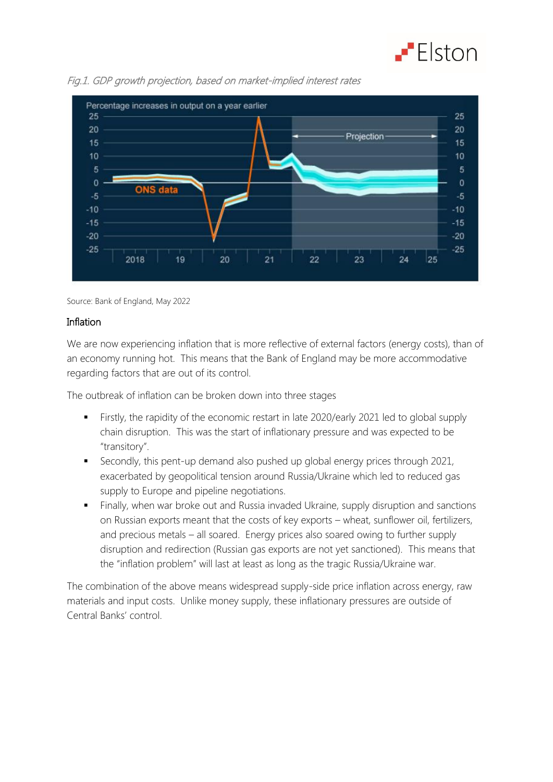



Fig.1. GDP growth projection, based on market-implied interest rates

Source: Bank of England, May 2022

#### Inflation

We are now experiencing inflation that is more reflective of external factors (energy costs), than of an economy running hot. This means that the Bank of England may be more accommodative regarding factors that are out of its control.

The outbreak of inflation can be broken down into three stages

- Firstly, the rapidity of the economic restart in late 2020/early 2021 led to global supply chain disruption. This was the start of inflationary pressure and was expected to be "transitory".
- Secondly, this pent-up demand also pushed up global energy prices through 2021, exacerbated by geopolitical tension around Russia/Ukraine which led to reduced gas supply to Europe and pipeline negotiations.
- Finally, when war broke out and Russia invaded Ukraine, supply disruption and sanctions on Russian exports meant that the costs of key exports – wheat, sunflower oil, fertilizers, and precious metals – all soared. Energy prices also soared owing to further supply disruption and redirection (Russian gas exports are not yet sanctioned). This means that the "inflation problem" will last at least as long as the tragic Russia/Ukraine war.

The combination of the above means widespread supply-side price inflation across energy, raw materials and input costs. Unlike money supply, these inflationary pressures are outside of Central Banks' control.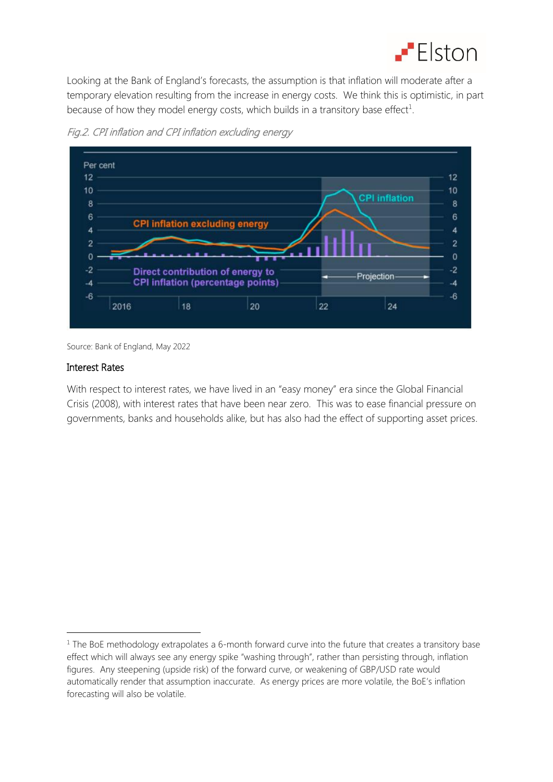

Looking at the Bank of England's forecasts, the assumption is that inflation will moderate after a temporary elevation resulting from the increase in energy costs. We think this is optimistic, in part because of how they model energy costs, which builds in a transitory base effect<sup>1</sup>.



Fig.2. CPI inflation and CPI inflation excluding energy

Source: Bank of England, May 2022

#### Interest Rates

1

With respect to interest rates, we have lived in an "easy money" era since the Global Financial Crisis (2008), with interest rates that have been near zero. This was to ease financial pressure on governments, banks and households alike, but has also had the effect of supporting asset prices.

 $1$  The BoE methodology extrapolates a 6-month forward curve into the future that creates a transitory base effect which will always see any energy spike "washing through", rather than persisting through, inflation figures. Any steepening (upside risk) of the forward curve, or weakening of GBP/USD rate would automatically render that assumption inaccurate. As energy prices are more volatile, the BoE's inflation forecasting will also be volatile.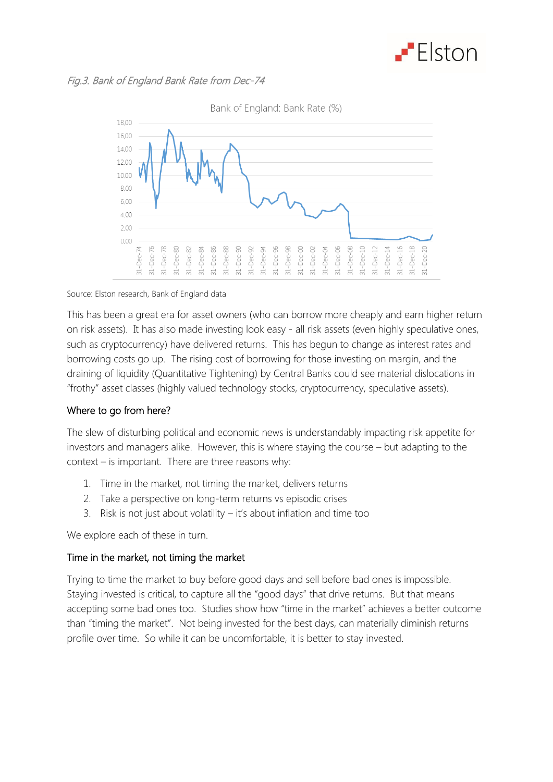

## Fig.3. Bank of England Bank Rate from Dec-74



#### Source: Elston research, Bank of England data

This has been a great era for asset owners (who can borrow more cheaply and earn higher return on risk assets). It has also made investing look easy - all risk assets (even highly speculative ones, such as cryptocurrency) have delivered returns. This has begun to change as interest rates and borrowing costs go up. The rising cost of borrowing for those investing on margin, and the draining of liquidity (Quantitative Tightening) by Central Banks could see material dislocations in "frothy" asset classes (highly valued technology stocks, cryptocurrency, speculative assets).

## Where to go from here?

The slew of disturbing political and economic news is understandably impacting risk appetite for investors and managers alike. However, this is where staying the course – but adapting to the context – is important. There are three reasons why:

- 1. Time in the market, not timing the market, delivers returns
- 2. Take a perspective on long-term returns vs episodic crises
- 3. Risk is not just about volatility it's about inflation and time too

We explore each of these in turn.

## Time in the market, not timing the market

Trying to time the market to buy before good days and sell before bad ones is impossible. Staying invested is critical, to capture all the "good days" that drive returns. But that means accepting some bad ones too. Studies show how "time in the market" achieves a better outcome than "timing the market". Not being invested for the best days, can materially diminish returns profile over time. So while it can be uncomfortable, it is better to stay invested.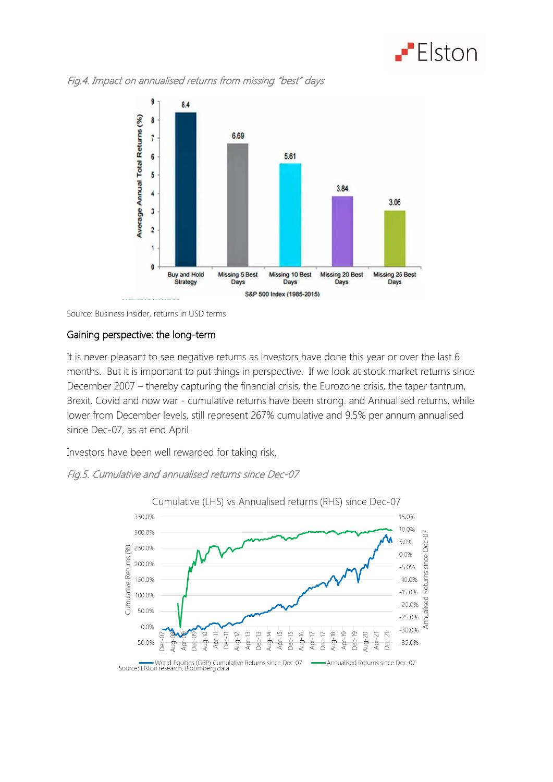

Fig.4. Impact on annualised returns from missing "best" days



Source: Business Insider, returns in USD terms

### Gaining perspective: the long-term

It is never pleasant to see negative returns as investors have done this year or over the last 6 months. But it is important to put things in perspective. If we look at stock market returns since December 2007 – thereby capturing the financial crisis, the Eurozone crisis, the taper tantrum, Brexit, Covid and now war - cumulative returns have been strong. and Annualised returns, while lower from December levels, still represent 267% cumulative and 9.5% per annum annualised since Dec-07, as at end April.

Investors have been well rewarded for taking risk.

## Fig.5. Cumulative and annualised returns since Dec-07



Source: Elston research, Bloomberg data<br>Source: Elston research, Bloomberg data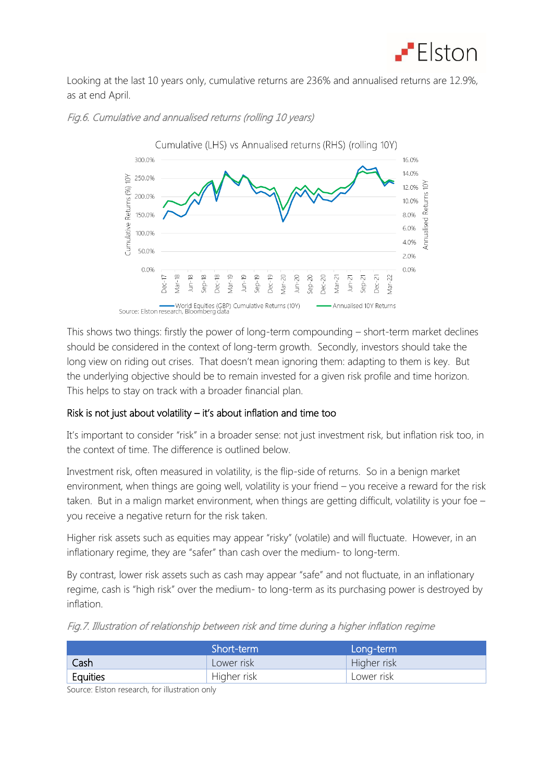

Looking at the last 10 years only, cumulative returns are 236% and annualised returns are 12.9%, as at end April.



#### Fig.6. Cumulative and annualised returns (rolling 10 years)

This shows two things: firstly the power of long-term compounding – short-term market declines should be considered in the context of long-term growth. Secondly, investors should take the long view on riding out crises. That doesn't mean ignoring them: adapting to them is key. But the underlying objective should be to remain invested for a given risk profile and time horizon. This helps to stay on track with a broader financial plan.

## Risk is not just about volatility – it's about inflation and time too

It's important to consider "risk" in a broader sense: not just investment risk, but inflation risk too, in the context of time. The difference is outlined below.

Investment risk, often measured in volatility, is the flip-side of returns. So in a benign market environment, when things are going well, volatility is your friend – you receive a reward for the risk taken. But in a malign market environment, when things are getting difficult, volatility is your foe – you receive a negative return for the risk taken.

Higher risk assets such as equities may appear "risky" (volatile) and will fluctuate. However, in an inflationary regime, they are "safer" than cash over the medium- to long-term.

By contrast, lower risk assets such as cash may appear "safe" and not fluctuate, in an inflationary regime, cash is "high risk" over the medium- to long-term as its purchasing power is destroyed by inflation.

|  |  | Fig.7. Illustration of relationship between risk and time during a higher inflation regime |  |  |  |
|--|--|--------------------------------------------------------------------------------------------|--|--|--|
|--|--|--------------------------------------------------------------------------------------------|--|--|--|

|          | Short-term  | Long-term   |
|----------|-------------|-------------|
| Cash     | Lower risk  | Higher risk |
| Equities | Higher risk | Lower risk  |

Source: Elston research, for illustration only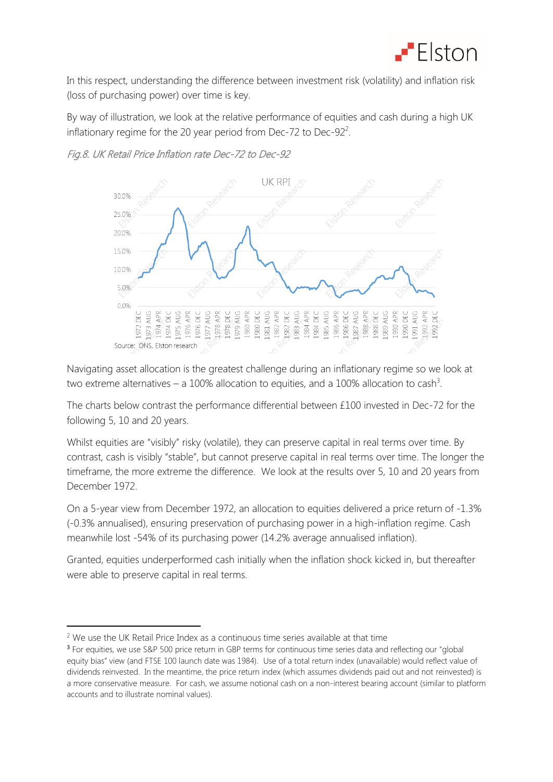

In this respect, understanding the difference between investment risk (volatility) and inflation risk (loss of purchasing power) over time is key.

By way of illustration, we look at the relative performance of equities and cash during a high UK inflationary regime for the 20 year period from Dec-72 to Dec-92<sup>2</sup>.





Navigating asset allocation is the greatest challenge during an inflationary regime so we look at two extreme alternatives – a 100% allocation to equities, and a 100% allocation to cash<sup>3</sup>.

The charts below contrast the performance differential between £100 invested in Dec-72 for the following 5, 10 and 20 years.

Whilst equities are "visibly" risky (volatile), they can preserve capital in real terms over time. By contrast, cash is visibly "stable", but cannot preserve capital in real terms over time. The longer the timeframe, the more extreme the difference. We look at the results over 5, 10 and 20 years from December 1972.

On a 5-year view from December 1972, an allocation to equities delivered a price return of -1.3% (-0.3% annualised), ensuring preservation of purchasing power in a high-inflation regime. Cash meanwhile lost -54% of its purchasing power (14.2% average annualised inflation).

Granted, equities underperformed cash initially when the inflation shock kicked in, but thereafter were able to preserve capital in real terms.

1

<sup>&</sup>lt;sup>2</sup> We use the UK Retail Price Index as a continuous time series available at that time

<sup>&</sup>lt;sup>3</sup> For equities, we use S&P 500 price return in GBP terms for continuous time series data and reflecting our "global equity bias" view (and FTSE 100 launch date was 1984). Use of a total return index (unavailable) would reflect value of dividends reinvested. In the meantime, the price return index (which assumes dividends paid out and not reinvested) is a more conservative measure. For cash, we assume notional cash on a non-interest bearing account (similar to platform accounts and to illustrate nominal values).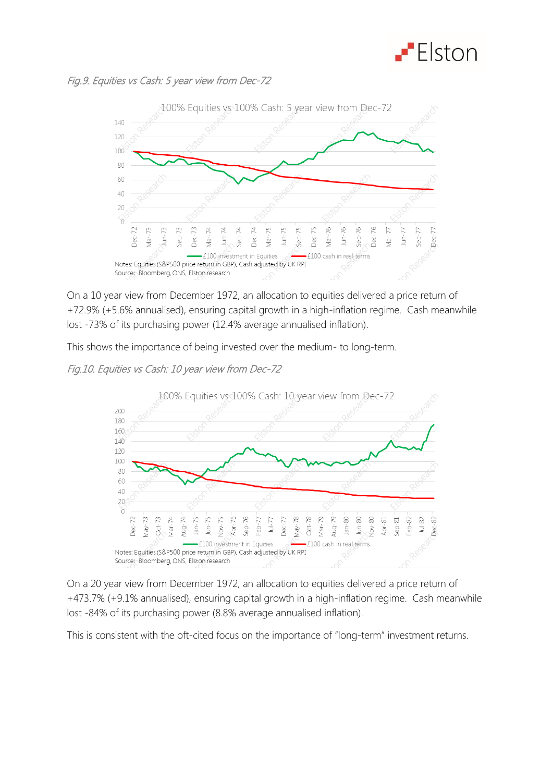

## Fig.9. Equities vs Cash: 5 year view from Dec-72



On a 10 year view from December 1972, an allocation to equities delivered a price return of +72.9% (+5.6% annualised), ensuring capital growth in a high-inflation regime. Cash meanwhile lost -73% of its purchasing power (12.4% average annualised inflation).

This shows the importance of being invested over the medium- to long-term.

## Fig.10. Equities vs Cash: 10 year view from Dec-72



On a 20 year view from December 1972, an allocation to equities delivered a price return of +473.7% (+9.1% annualised), ensuring capital growth in a high-inflation regime. Cash meanwhile lost -84% of its purchasing power (8.8% average annualised inflation).

This is consistent with the oft-cited focus on the importance of "long-term" investment returns.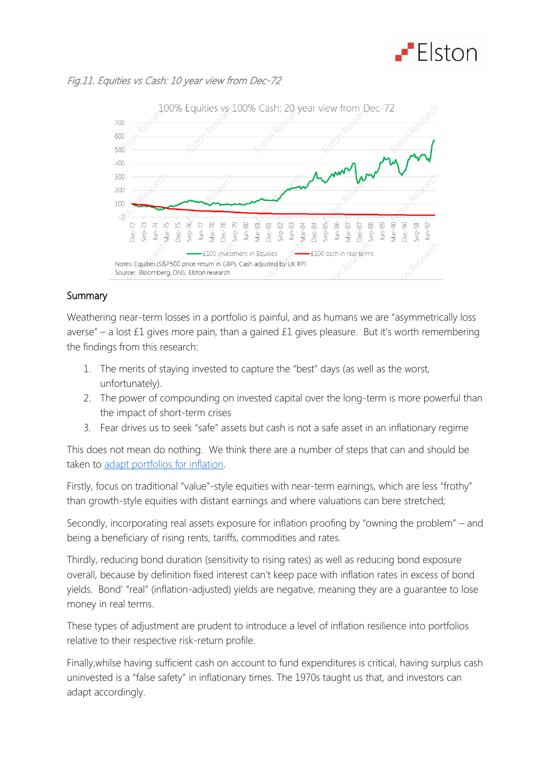

## Fig.11. Equities vs Cash: 10 year view from Dec-72



## Summary

Weathering near-term losses in a portfolio is painful, and as humans we are "asymmetrically loss averse" – a lost £1 gives more pain, than a gained £1 gives pleasure. But it's worth remembering the findings from this research:

- 1. The merits of staying invested to capture the "best" days (as well as the worst, unfortunately).
- 2. The power of compounding on invested capital over the long-term is more powerful than the impact of short-term crises
- 3. Fear drives us to seek "safe" assets but cash is not a safe asset in an inflationary regime

This does not mean do nothing. We think there are a number of steps that can and should be taken to [adapt portfolios for inflation.](https://www.elstonsolutions.co.uk/insights/adapting-portfolios-for-inflation)

Firstly, focus on traditional "value"-style equities with near-term earnings, which are less "frothy" than growth-style equities with distant earnings and where valuations can bere stretched;

Secondly, incorporating real assets exposure for inflation proofing by "owning the problem" – and being a beneficiary of rising rents, tariffs, commodities and rates.

Thirdly, reducing bond duration (sensitivity to rising rates) as well as reducing bond exposure overall, because by definition fixed interest can't keep pace with inflation rates in excess of bond yields. Bond' "real" (inflation-adjusted) yields are negative, meaning they are a guarantee to lose money in real terms.

These types of adjustment are prudent to introduce a level of inflation resilience into portfolios relative to their respective risk-return profile.

Finally,whilse having sufficient cash on account to fund expenditures is critical, having surplus cash uninvested is a "false safety" in inflationary times. The 1970s taught us that, and investors can adapt accordingly.